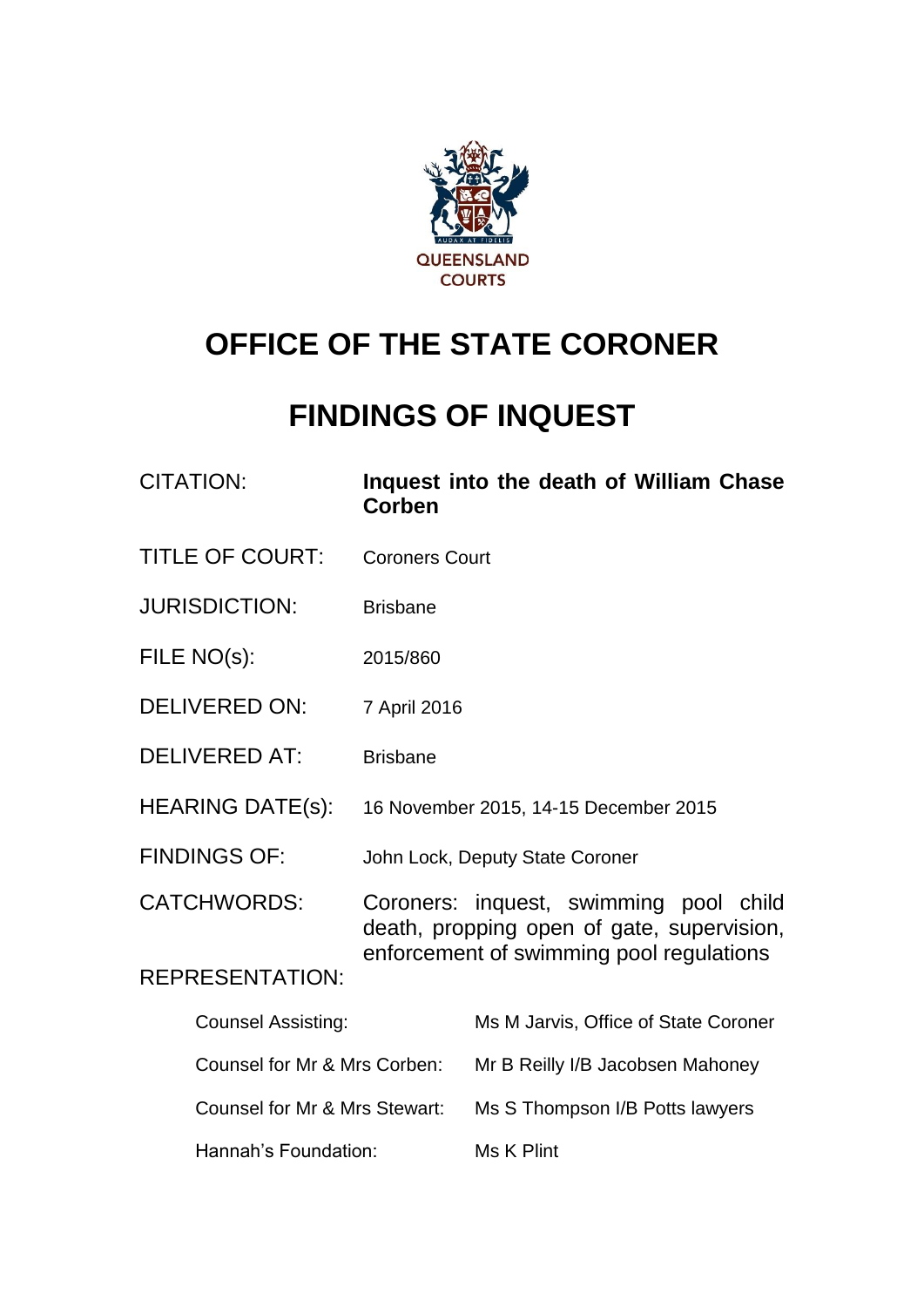

# **OFFICE OF THE STATE CORONER**

# **FINDINGS OF INQUEST**

| <b>CITATION:</b>              | Corben                                                                                                                           | Inquest into the death of William Chase |  |
|-------------------------------|----------------------------------------------------------------------------------------------------------------------------------|-----------------------------------------|--|
| <b>TITLE OF COURT:</b>        | <b>Coroners Court</b>                                                                                                            |                                         |  |
| <b>JURISDICTION:</b>          | <b>Brisbane</b>                                                                                                                  |                                         |  |
| FILE NO(s):                   | 2015/860                                                                                                                         |                                         |  |
| <b>DELIVERED ON:</b>          | 7 April 2016                                                                                                                     |                                         |  |
| <b>DELIVERED AT:</b>          | <b>Brisbane</b>                                                                                                                  |                                         |  |
| <b>HEARING DATE(s):</b>       | 16 November 2015, 14-15 December 2015                                                                                            |                                         |  |
| <b>FINDINGS OF:</b>           | John Lock, Deputy State Coroner                                                                                                  |                                         |  |
| <b>CATCHWORDS:</b>            | Coroners: inquest, swimming pool child<br>death, propping open of gate, supervision,<br>enforcement of swimming pool regulations |                                         |  |
| <b>REPRESENTATION:</b>        |                                                                                                                                  |                                         |  |
| <b>Counsel Assisting:</b>     |                                                                                                                                  | Ms M Jarvis, Office of State Coroner    |  |
| Counsel for Mr & Mrs Corben:  |                                                                                                                                  | Mr B Reilly I/B Jacobsen Mahoney        |  |
| Counsel for Mr & Mrs Stewart: |                                                                                                                                  | Ms S Thompson I/B Potts lawyers         |  |
| Hannah's Foundation:          |                                                                                                                                  | Ms K Plint                              |  |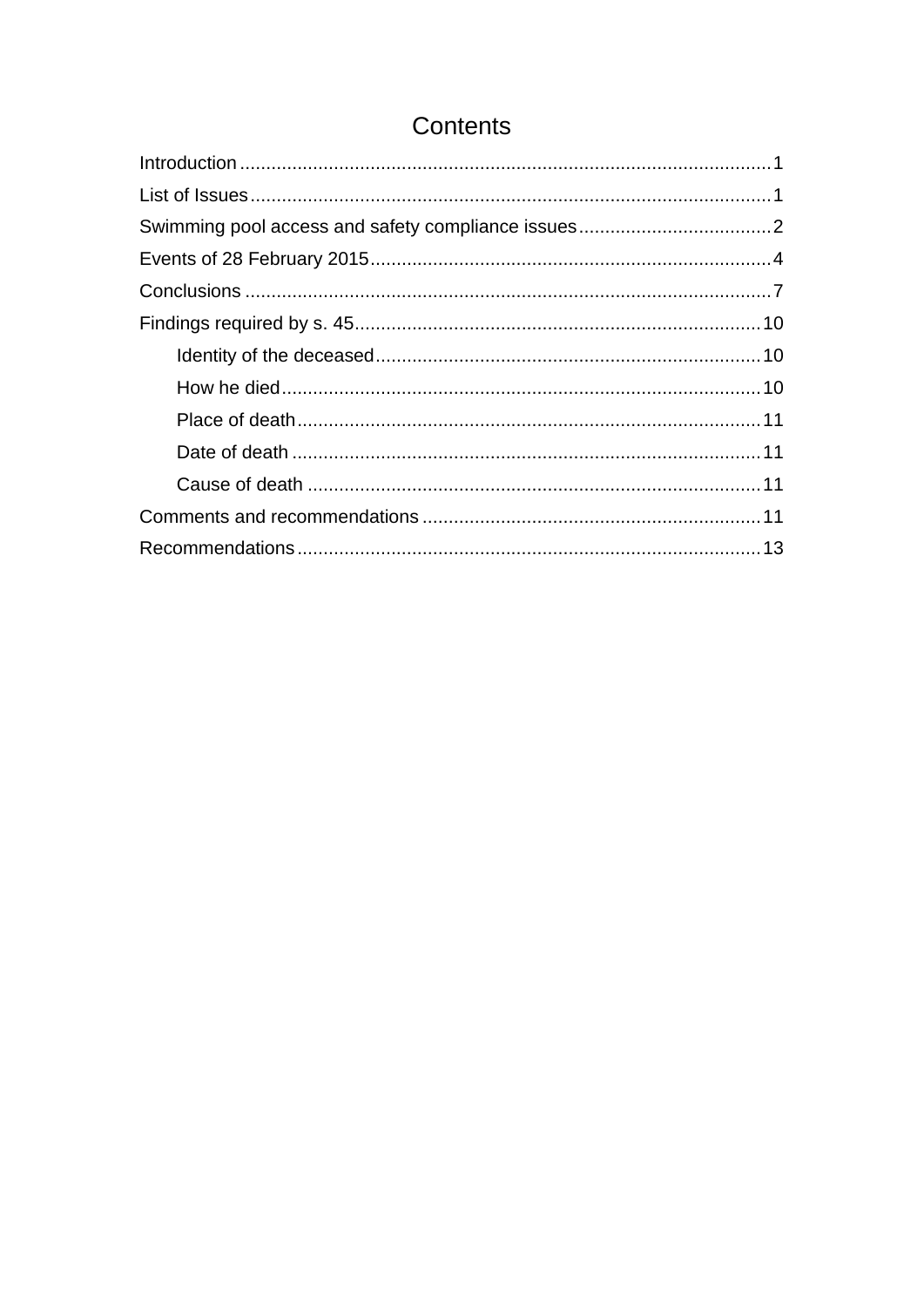## Contents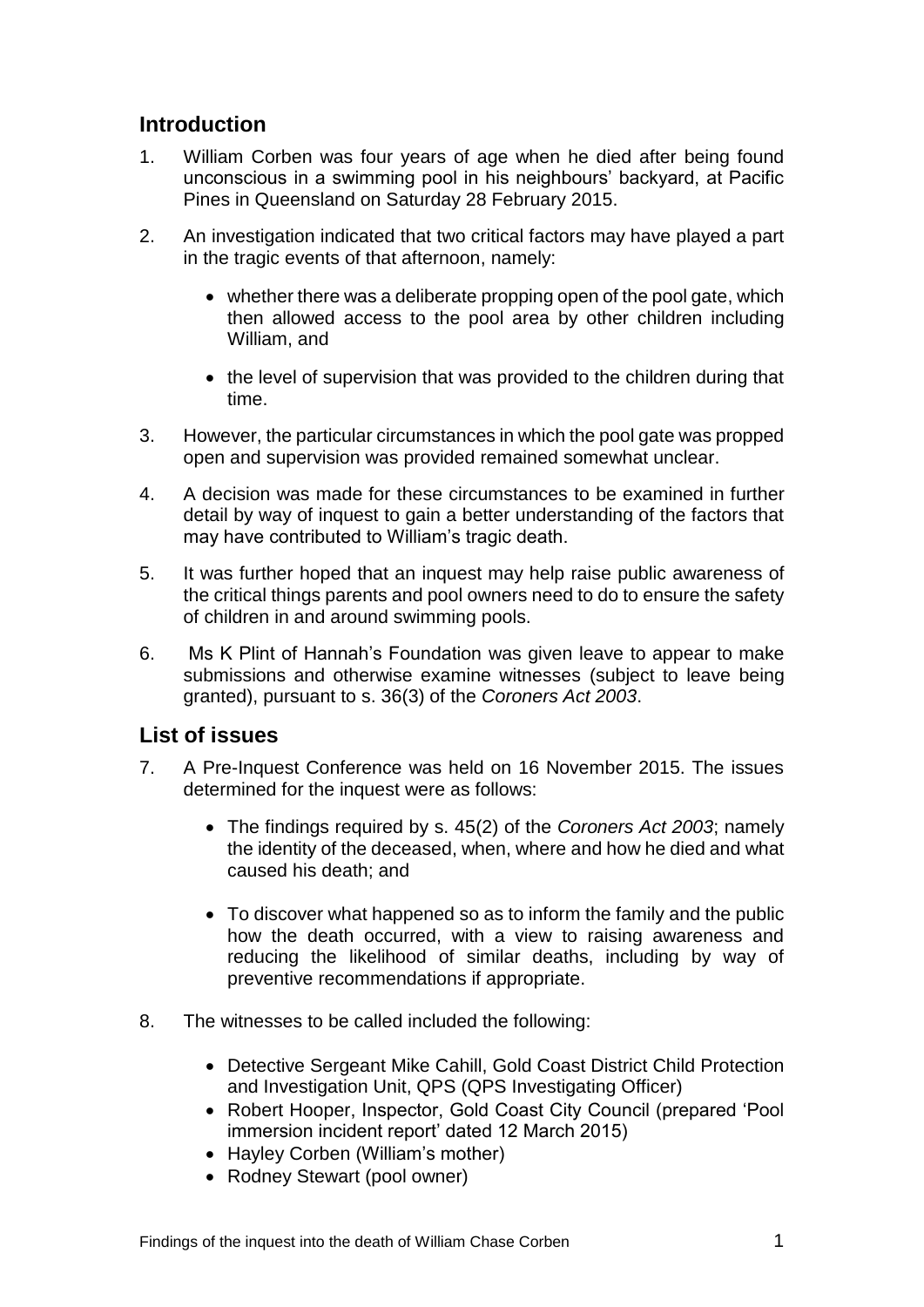### <span id="page-2-0"></span>**Introduction**

- 1. William Corben was four years of age when he died after being found unconscious in a swimming pool in his neighbours' backyard, at Pacific Pines in Queensland on Saturday 28 February 2015.
- 2. An investigation indicated that two critical factors may have played a part in the tragic events of that afternoon, namely:
	- whether there was a deliberate propping open of the pool gate, which then allowed access to the pool area by other children including William, and
	- the level of supervision that was provided to the children during that time.
- 3. However, the particular circumstances in which the pool gate was propped open and supervision was provided remained somewhat unclear.
- 4. A decision was made for these circumstances to be examined in further detail by way of inquest to gain a better understanding of the factors that may have contributed to William's tragic death.
- 5. It was further hoped that an inquest may help raise public awareness of the critical things parents and pool owners need to do to ensure the safety of children in and around swimming pools.
- 6. Ms K Plint of Hannah's Foundation was given leave to appear to make submissions and otherwise examine witnesses (subject to leave being granted), pursuant to s. 36(3) of the *Coroners Act 2003*.

### <span id="page-2-1"></span>**List of issues**

- 7. A Pre-Inquest Conference was held on 16 November 2015. The issues determined for the inquest were as follows:
	- The findings required by s. 45(2) of the *Coroners Act 2003*; namely the identity of the deceased, when, where and how he died and what caused his death; and
	- To discover what happened so as to inform the family and the public how the death occurred, with a view to raising awareness and reducing the likelihood of similar deaths, including by way of preventive recommendations if appropriate.
- 8. The witnesses to be called included the following:
	- Detective Sergeant Mike Cahill, Gold Coast District Child Protection and Investigation Unit, QPS (QPS Investigating Officer)
	- Robert Hooper, Inspector, Gold Coast City Council (prepared 'Pool immersion incident report' dated 12 March 2015)
	- Hayley Corben (William's mother)
	- Rodney Stewart (pool owner)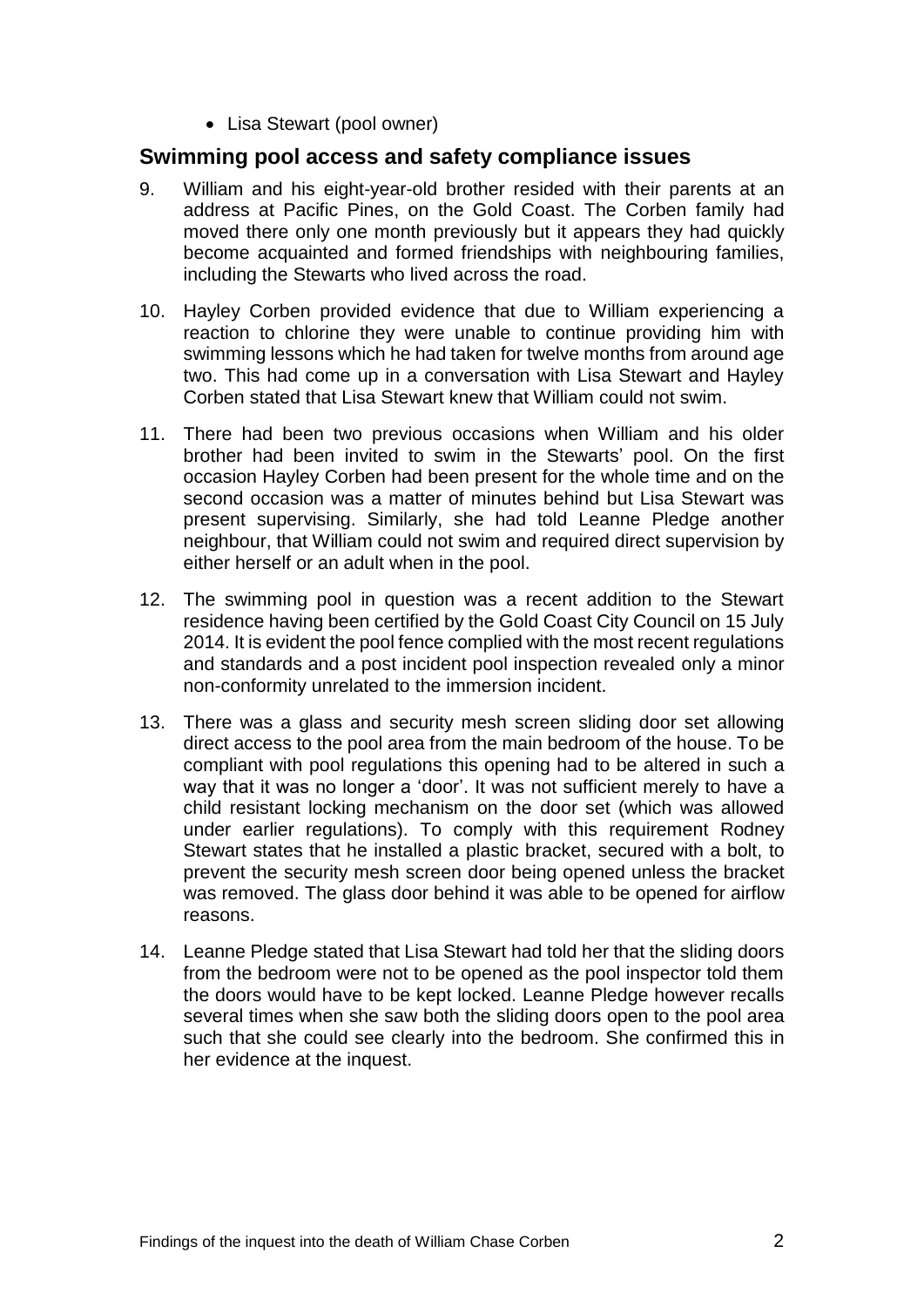• Lisa Stewart (pool owner)

#### <span id="page-3-0"></span>**Swimming pool access and safety compliance issues**

- 9. William and his eight-year-old brother resided with their parents at an address at Pacific Pines, on the Gold Coast. The Corben family had moved there only one month previously but it appears they had quickly become acquainted and formed friendships with neighbouring families, including the Stewarts who lived across the road.
- 10. Hayley Corben provided evidence that due to William experiencing a reaction to chlorine they were unable to continue providing him with swimming lessons which he had taken for twelve months from around age two. This had come up in a conversation with Lisa Stewart and Hayley Corben stated that Lisa Stewart knew that William could not swim.
- 11. There had been two previous occasions when William and his older brother had been invited to swim in the Stewarts' pool. On the first occasion Hayley Corben had been present for the whole time and on the second occasion was a matter of minutes behind but Lisa Stewart was present supervising. Similarly, she had told Leanne Pledge another neighbour, that William could not swim and required direct supervision by either herself or an adult when in the pool.
- 12. The swimming pool in question was a recent addition to the Stewart residence having been certified by the Gold Coast City Council on 15 July 2014. It is evident the pool fence complied with the most recent regulations and standards and a post incident pool inspection revealed only a minor non-conformity unrelated to the immersion incident.
- 13. There was a glass and security mesh screen sliding door set allowing direct access to the pool area from the main bedroom of the house. To be compliant with pool regulations this opening had to be altered in such a way that it was no longer a 'door'. It was not sufficient merely to have a child resistant locking mechanism on the door set (which was allowed under earlier regulations). To comply with this requirement Rodney Stewart states that he installed a plastic bracket, secured with a bolt, to prevent the security mesh screen door being opened unless the bracket was removed. The glass door behind it was able to be opened for airflow reasons.
- 14. Leanne Pledge stated that Lisa Stewart had told her that the sliding doors from the bedroom were not to be opened as the pool inspector told them the doors would have to be kept locked. Leanne Pledge however recalls several times when she saw both the sliding doors open to the pool area such that she could see clearly into the bedroom. She confirmed this in her evidence at the inquest.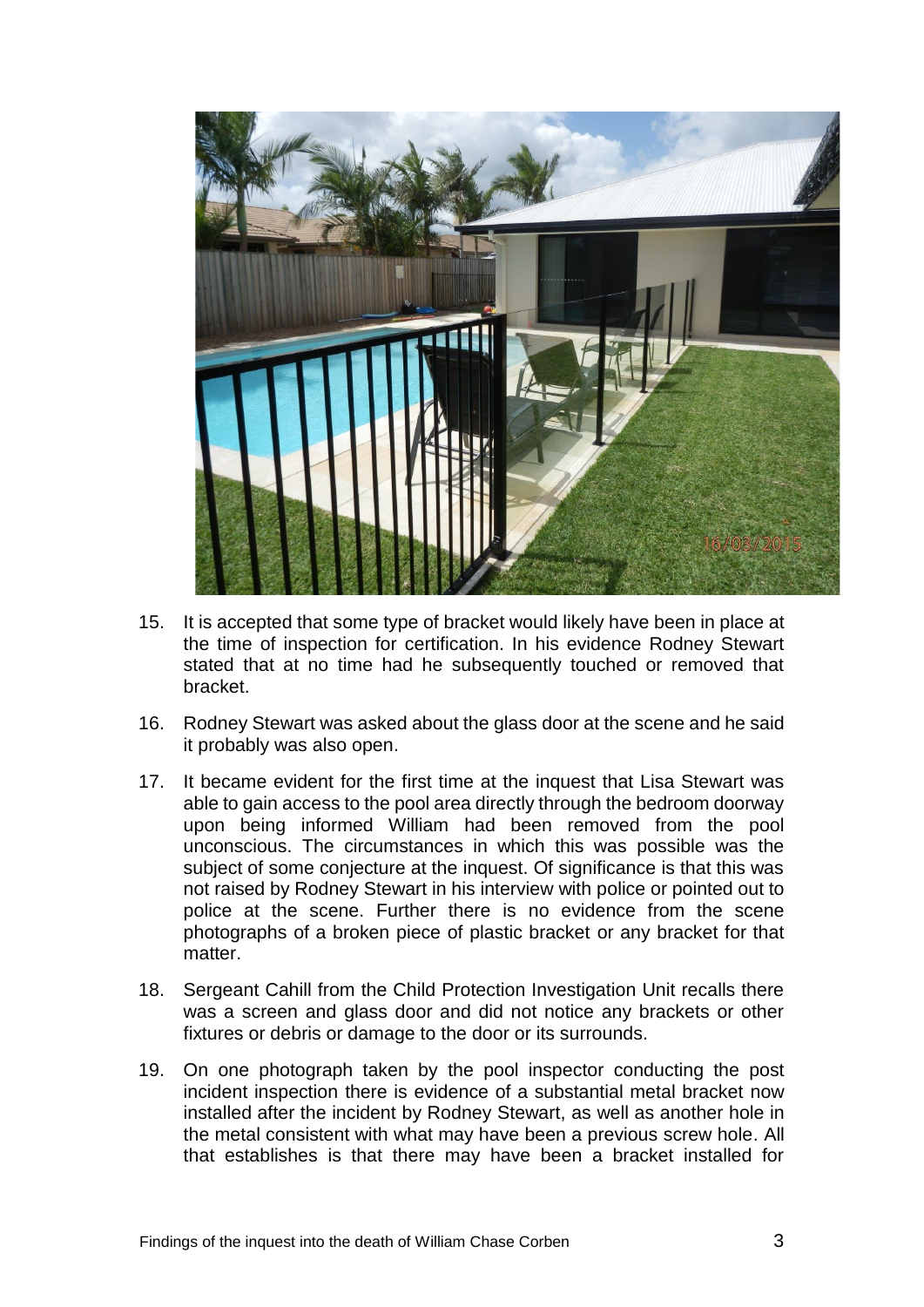

- 15. It is accepted that some type of bracket would likely have been in place at the time of inspection for certification. In his evidence Rodney Stewart stated that at no time had he subsequently touched or removed that bracket.
- 16. Rodney Stewart was asked about the glass door at the scene and he said it probably was also open.
- 17. It became evident for the first time at the inquest that Lisa Stewart was able to gain access to the pool area directly through the bedroom doorway upon being informed William had been removed from the pool unconscious. The circumstances in which this was possible was the subject of some conjecture at the inquest. Of significance is that this was not raised by Rodney Stewart in his interview with police or pointed out to police at the scene. Further there is no evidence from the scene photographs of a broken piece of plastic bracket or any bracket for that matter.
- 18. Sergeant Cahill from the Child Protection Investigation Unit recalls there was a screen and glass door and did not notice any brackets or other fixtures or debris or damage to the door or its surrounds.
- 19. On one photograph taken by the pool inspector conducting the post incident inspection there is evidence of a substantial metal bracket now installed after the incident by Rodney Stewart, as well as another hole in the metal consistent with what may have been a previous screw hole. All that establishes is that there may have been a bracket installed for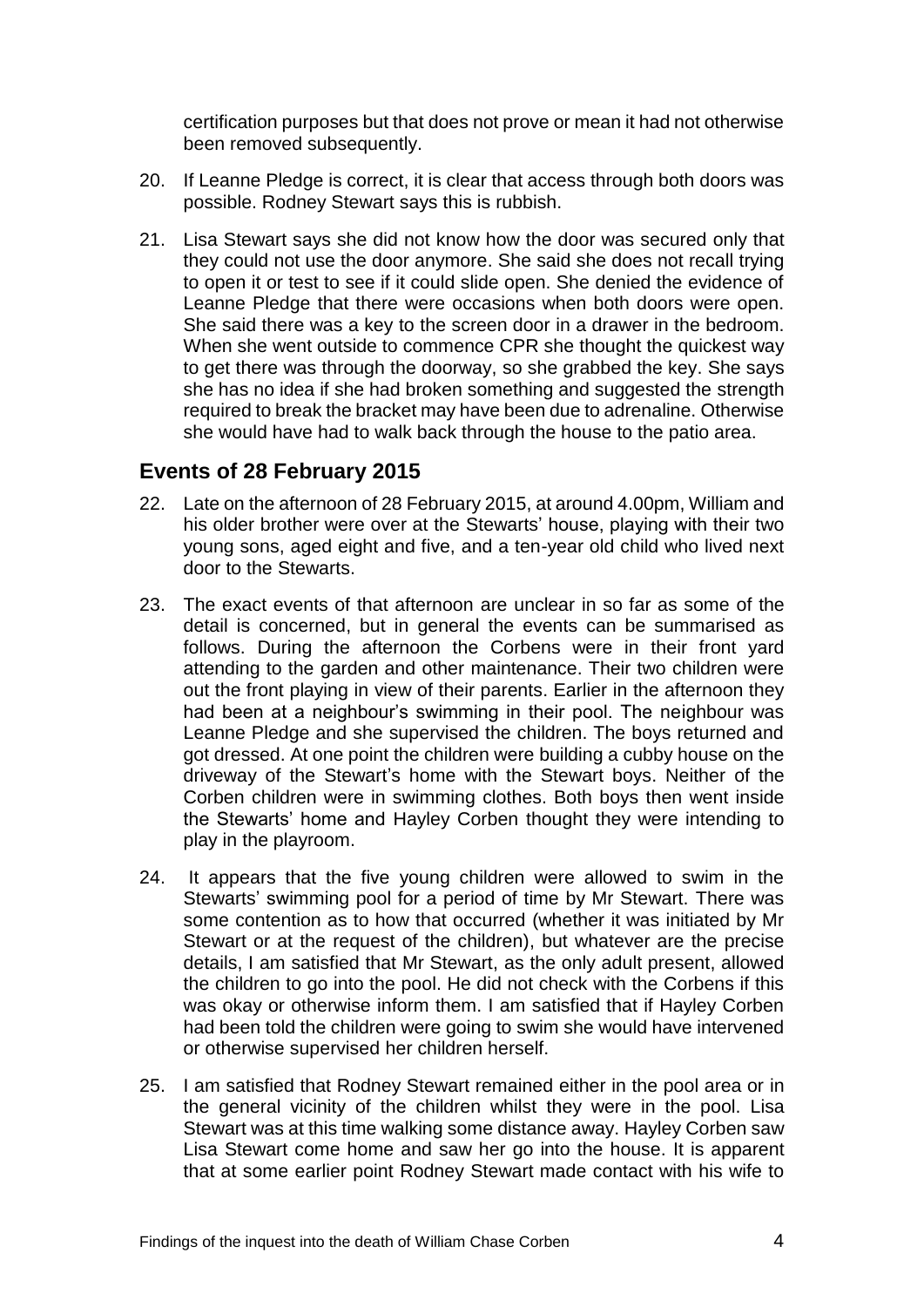certification purposes but that does not prove or mean it had not otherwise been removed subsequently.

- 20. If Leanne Pledge is correct, it is clear that access through both doors was possible. Rodney Stewart says this is rubbish.
- 21. Lisa Stewart says she did not know how the door was secured only that they could not use the door anymore. She said she does not recall trying to open it or test to see if it could slide open. She denied the evidence of Leanne Pledge that there were occasions when both doors were open. She said there was a key to the screen door in a drawer in the bedroom. When she went outside to commence CPR she thought the quickest way to get there was through the doorway, so she grabbed the key. She says she has no idea if she had broken something and suggested the strength required to break the bracket may have been due to adrenaline. Otherwise she would have had to walk back through the house to the patio area.

#### <span id="page-5-0"></span>**Events of 28 February 2015**

- 22. Late on the afternoon of 28 February 2015, at around 4.00pm, William and his older brother were over at the Stewarts' house, playing with their two young sons, aged eight and five, and a ten-year old child who lived next door to the Stewarts.
- 23. The exact events of that afternoon are unclear in so far as some of the detail is concerned, but in general the events can be summarised as follows. During the afternoon the Corbens were in their front yard attending to the garden and other maintenance. Their two children were out the front playing in view of their parents. Earlier in the afternoon they had been at a neighbour's swimming in their pool. The neighbour was Leanne Pledge and she supervised the children. The boys returned and got dressed. At one point the children were building a cubby house on the driveway of the Stewart's home with the Stewart boys. Neither of the Corben children were in swimming clothes. Both boys then went inside the Stewarts' home and Hayley Corben thought they were intending to play in the playroom.
- 24. It appears that the five young children were allowed to swim in the Stewarts' swimming pool for a period of time by Mr Stewart. There was some contention as to how that occurred (whether it was initiated by Mr Stewart or at the request of the children), but whatever are the precise details, I am satisfied that Mr Stewart, as the only adult present, allowed the children to go into the pool. He did not check with the Corbens if this was okay or otherwise inform them. I am satisfied that if Hayley Corben had been told the children were going to swim she would have intervened or otherwise supervised her children herself.
- 25. I am satisfied that Rodney Stewart remained either in the pool area or in the general vicinity of the children whilst they were in the pool. Lisa Stewart was at this time walking some distance away. Hayley Corben saw Lisa Stewart come home and saw her go into the house. It is apparent that at some earlier point Rodney Stewart made contact with his wife to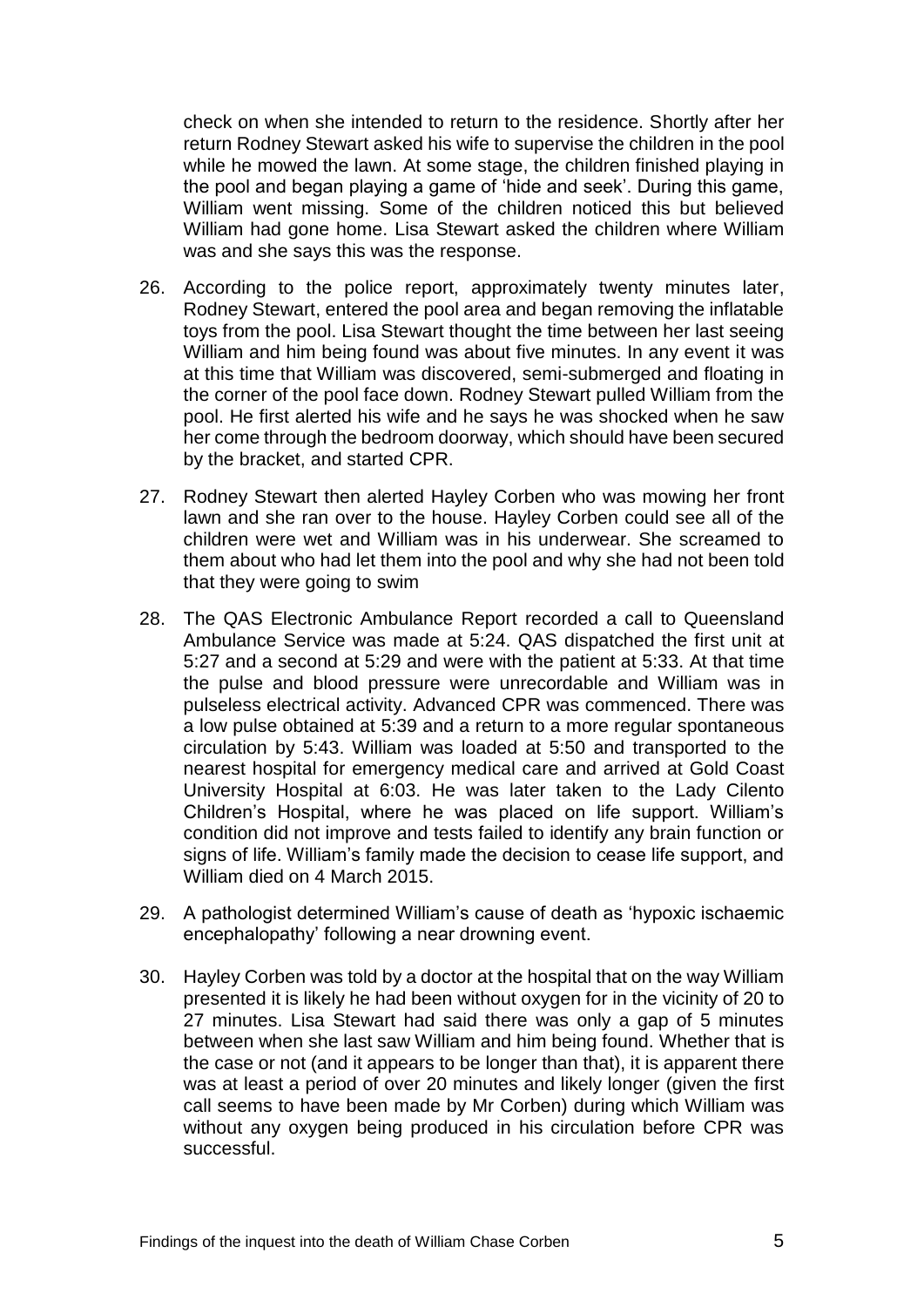check on when she intended to return to the residence. Shortly after her return Rodney Stewart asked his wife to supervise the children in the pool while he mowed the lawn. At some stage, the children finished playing in the pool and began playing a game of 'hide and seek'. During this game, William went missing. Some of the children noticed this but believed William had gone home. Lisa Stewart asked the children where William was and she says this was the response.

- 26. According to the police report, approximately twenty minutes later, Rodney Stewart, entered the pool area and began removing the inflatable toys from the pool. Lisa Stewart thought the time between her last seeing William and him being found was about five minutes. In any event it was at this time that William was discovered, semi-submerged and floating in the corner of the pool face down. Rodney Stewart pulled William from the pool. He first alerted his wife and he says he was shocked when he saw her come through the bedroom doorway, which should have been secured by the bracket, and started CPR.
- 27. Rodney Stewart then alerted Hayley Corben who was mowing her front lawn and she ran over to the house. Hayley Corben could see all of the children were wet and William was in his underwear. She screamed to them about who had let them into the pool and why she had not been told that they were going to swim
- 28. The QAS Electronic Ambulance Report recorded a call to Queensland Ambulance Service was made at 5:24. QAS dispatched the first unit at 5:27 and a second at 5:29 and were with the patient at 5:33. At that time the pulse and blood pressure were unrecordable and William was in pulseless electrical activity. Advanced CPR was commenced. There was a low pulse obtained at 5:39 and a return to a more regular spontaneous circulation by 5:43. William was loaded at 5:50 and transported to the nearest hospital for emergency medical care and arrived at Gold Coast University Hospital at 6:03. He was later taken to the Lady Cilento Children's Hospital, where he was placed on life support. William's condition did not improve and tests failed to identify any brain function or signs of life. William's family made the decision to cease life support, and William died on 4 March 2015.
- 29. A pathologist determined William's cause of death as 'hypoxic ischaemic encephalopathy' following a near drowning event.
- 30. Hayley Corben was told by a doctor at the hospital that on the way William presented it is likely he had been without oxygen for in the vicinity of 20 to 27 minutes. Lisa Stewart had said there was only a gap of 5 minutes between when she last saw William and him being found. Whether that is the case or not (and it appears to be longer than that), it is apparent there was at least a period of over 20 minutes and likely longer (given the first call seems to have been made by Mr Corben) during which William was without any oxygen being produced in his circulation before CPR was successful.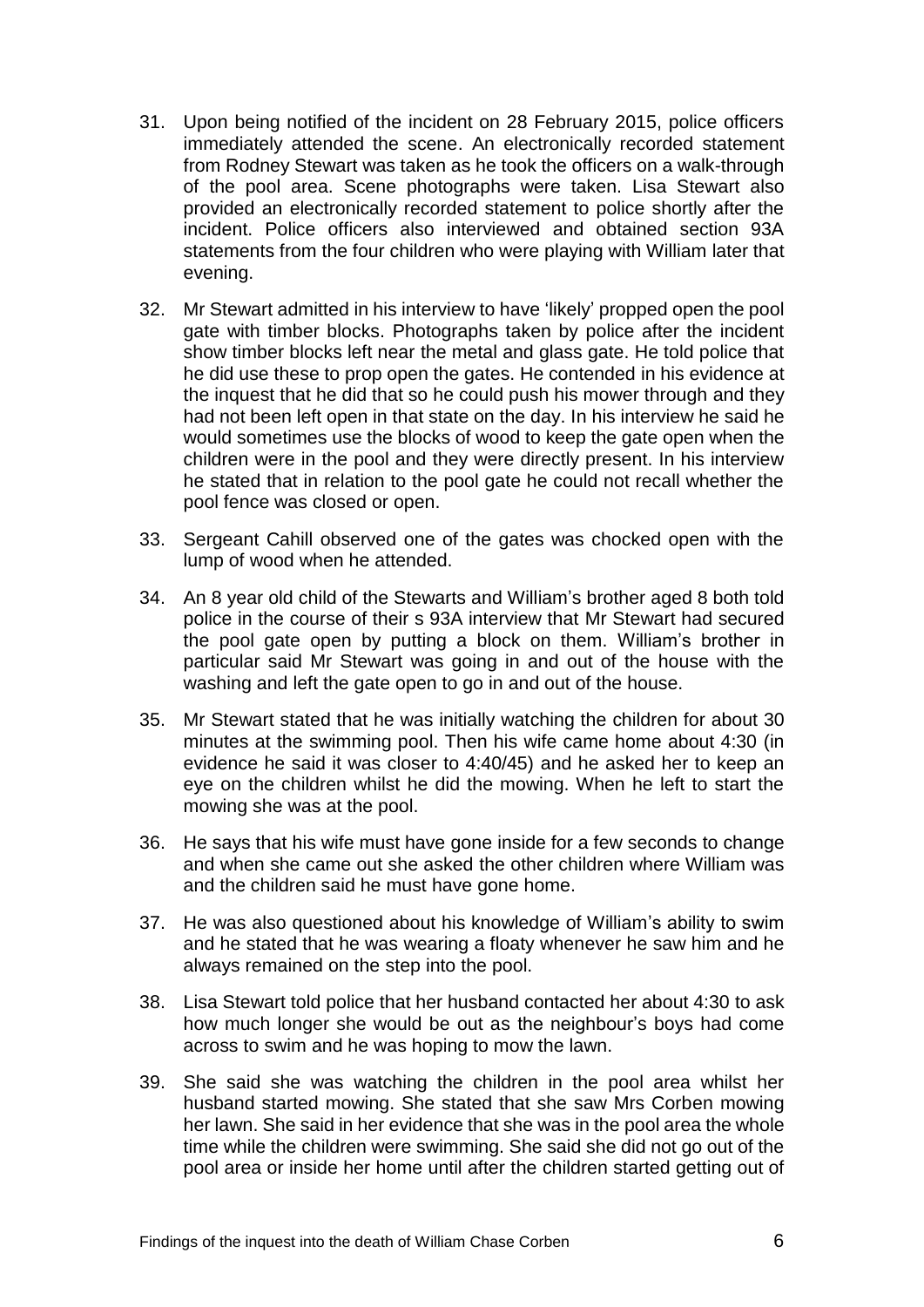- 31. Upon being notified of the incident on 28 February 2015, police officers immediately attended the scene. An electronically recorded statement from Rodney Stewart was taken as he took the officers on a walk-through of the pool area. Scene photographs were taken. Lisa Stewart also provided an electronically recorded statement to police shortly after the incident. Police officers also interviewed and obtained section 93A statements from the four children who were playing with William later that evening.
- 32. Mr Stewart admitted in his interview to have 'likely' propped open the pool gate with timber blocks. Photographs taken by police after the incident show timber blocks left near the metal and glass gate. He told police that he did use these to prop open the gates. He contended in his evidence at the inquest that he did that so he could push his mower through and they had not been left open in that state on the day. In his interview he said he would sometimes use the blocks of wood to keep the gate open when the children were in the pool and they were directly present. In his interview he stated that in relation to the pool gate he could not recall whether the pool fence was closed or open.
- 33. Sergeant Cahill observed one of the gates was chocked open with the lump of wood when he attended.
- 34. An 8 year old child of the Stewarts and William's brother aged 8 both told police in the course of their s 93A interview that Mr Stewart had secured the pool gate open by putting a block on them. William's brother in particular said Mr Stewart was going in and out of the house with the washing and left the gate open to go in and out of the house.
- 35. Mr Stewart stated that he was initially watching the children for about 30 minutes at the swimming pool. Then his wife came home about 4:30 (in evidence he said it was closer to 4:40/45) and he asked her to keep an eye on the children whilst he did the mowing. When he left to start the mowing she was at the pool.
- 36. He says that his wife must have gone inside for a few seconds to change and when she came out she asked the other children where William was and the children said he must have gone home.
- 37. He was also questioned about his knowledge of William's ability to swim and he stated that he was wearing a floaty whenever he saw him and he always remained on the step into the pool.
- 38. Lisa Stewart told police that her husband contacted her about 4:30 to ask how much longer she would be out as the neighbour's boys had come across to swim and he was hoping to mow the lawn.
- 39. She said she was watching the children in the pool area whilst her husband started mowing. She stated that she saw Mrs Corben mowing her lawn. She said in her evidence that she was in the pool area the whole time while the children were swimming. She said she did not go out of the pool area or inside her home until after the children started getting out of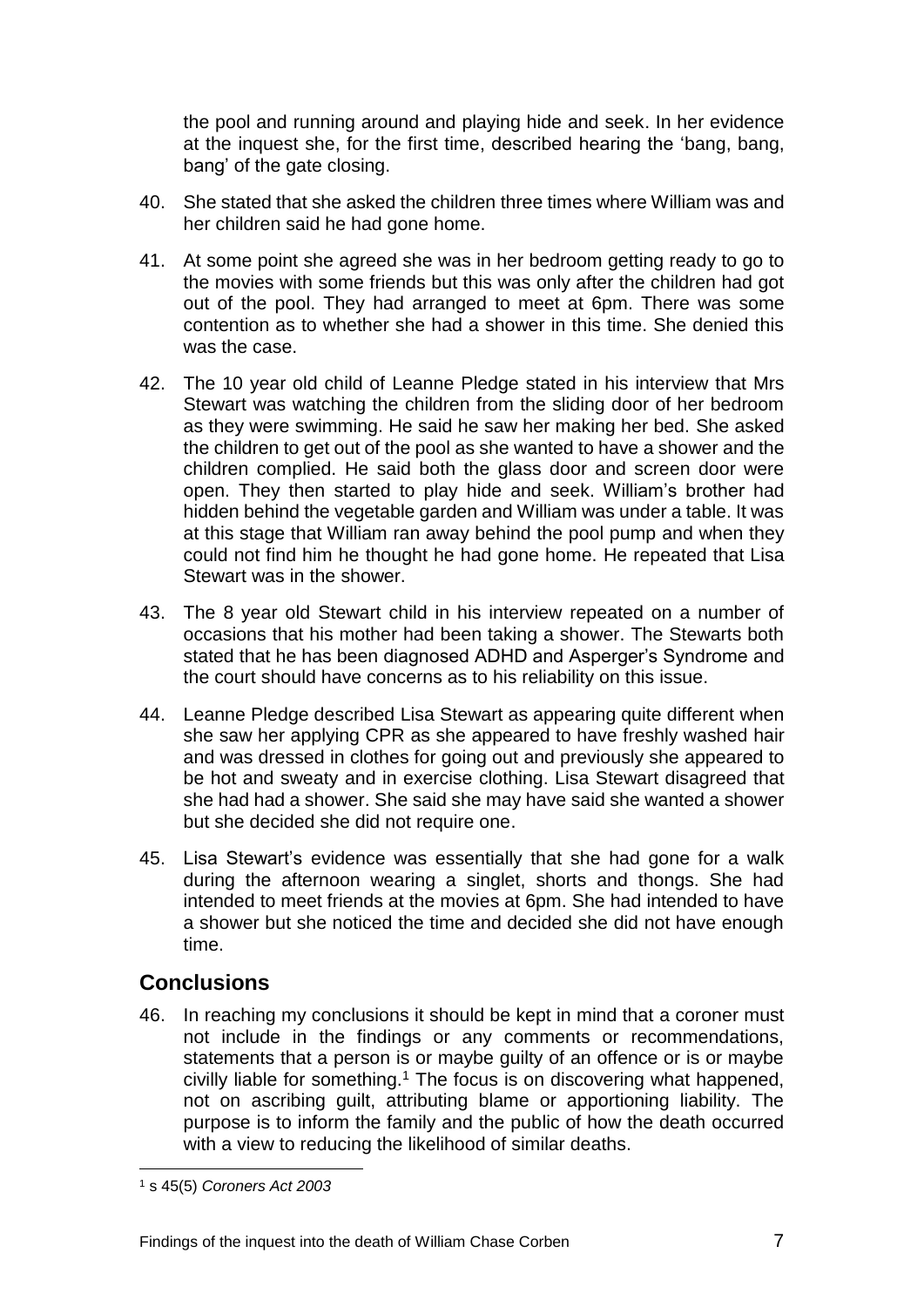the pool and running around and playing hide and seek. In her evidence at the inquest she, for the first time, described hearing the 'bang, bang, bang' of the gate closing.

- 40. She stated that she asked the children three times where William was and her children said he had gone home.
- 41. At some point she agreed she was in her bedroom getting ready to go to the movies with some friends but this was only after the children had got out of the pool. They had arranged to meet at 6pm. There was some contention as to whether she had a shower in this time. She denied this was the case.
- 42. The 10 year old child of Leanne Pledge stated in his interview that Mrs Stewart was watching the children from the sliding door of her bedroom as they were swimming. He said he saw her making her bed. She asked the children to get out of the pool as she wanted to have a shower and the children complied. He said both the glass door and screen door were open. They then started to play hide and seek. William's brother had hidden behind the vegetable garden and William was under a table. It was at this stage that William ran away behind the pool pump and when they could not find him he thought he had gone home. He repeated that Lisa Stewart was in the shower.
- 43. The 8 year old Stewart child in his interview repeated on a number of occasions that his mother had been taking a shower. The Stewarts both stated that he has been diagnosed ADHD and Asperger's Syndrome and the court should have concerns as to his reliability on this issue.
- 44. Leanne Pledge described Lisa Stewart as appearing quite different when she saw her applying CPR as she appeared to have freshly washed hair and was dressed in clothes for going out and previously she appeared to be hot and sweaty and in exercise clothing. Lisa Stewart disagreed that she had had a shower. She said she may have said she wanted a shower but she decided she did not require one.
- 45. Lisa Stewart's evidence was essentially that she had gone for a walk during the afternoon wearing a singlet, shorts and thongs. She had intended to meet friends at the movies at 6pm. She had intended to have a shower but she noticed the time and decided she did not have enough time.

#### <span id="page-8-0"></span>**Conclusions**

46. In reaching my conclusions it should be kept in mind that a coroner must not include in the findings or any comments or recommendations, statements that a person is or maybe guilty of an offence or is or maybe civilly liable for something.<sup>1</sup> The focus is on discovering what happened, not on ascribing guilt, attributing blame or apportioning liability. The purpose is to inform the family and the public of how the death occurred with a view to reducing the likelihood of similar deaths.

l

<sup>1</sup> s 45(5) *Coroners Act 2003*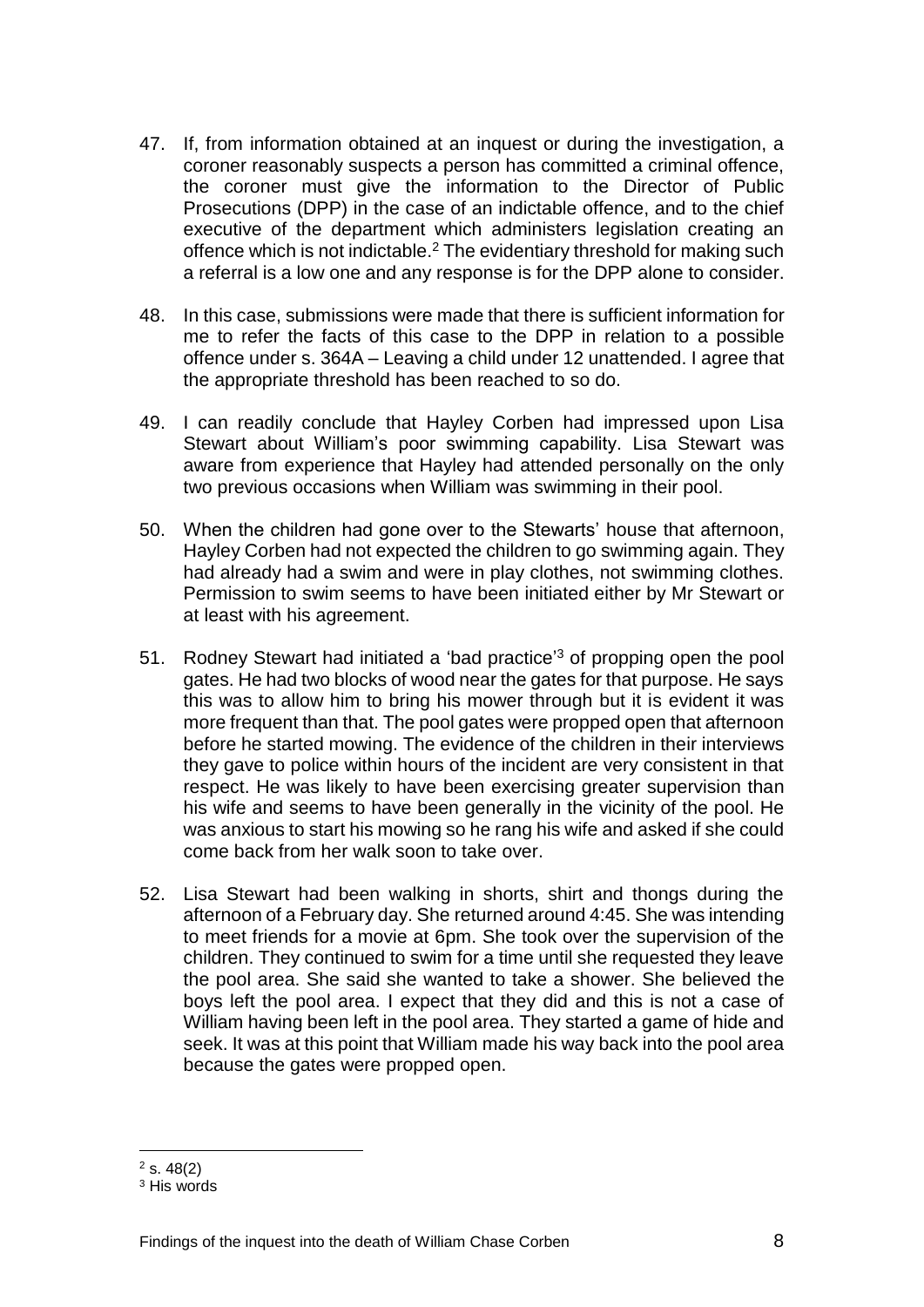- 47. If, from information obtained at an inquest or during the investigation, a coroner reasonably suspects a person has committed a criminal offence, the coroner must give the information to the Director of Public Prosecutions (DPP) in the case of an indictable offence, and to the chief executive of the department which administers legislation creating an offence which is not indictable.<sup>2</sup> The evidentiary threshold for making such a referral is a low one and any response is for the DPP alone to consider.
- 48. In this case, submissions were made that there is sufficient information for me to refer the facts of this case to the DPP in relation to a possible offence under s. 364A – Leaving a child under 12 unattended. I agree that the appropriate threshold has been reached to so do.
- 49. I can readily conclude that Hayley Corben had impressed upon Lisa Stewart about William's poor swimming capability. Lisa Stewart was aware from experience that Hayley had attended personally on the only two previous occasions when William was swimming in their pool.
- 50. When the children had gone over to the Stewarts' house that afternoon, Hayley Corben had not expected the children to go swimming again. They had already had a swim and were in play clothes, not swimming clothes. Permission to swim seems to have been initiated either by Mr Stewart or at least with his agreement.
- 51. Rodney Stewart had initiated a 'bad practice'<sup>3</sup> of propping open the pool gates. He had two blocks of wood near the gates for that purpose. He says this was to allow him to bring his mower through but it is evident it was more frequent than that. The pool gates were propped open that afternoon before he started mowing. The evidence of the children in their interviews they gave to police within hours of the incident are very consistent in that respect. He was likely to have been exercising greater supervision than his wife and seems to have been generally in the vicinity of the pool. He was anxious to start his mowing so he rang his wife and asked if she could come back from her walk soon to take over.
- 52. Lisa Stewart had been walking in shorts, shirt and thongs during the afternoon of a February day. She returned around 4:45. She was intending to meet friends for a movie at 6pm. She took over the supervision of the children. They continued to swim for a time until she requested they leave the pool area. She said she wanted to take a shower. She believed the boys left the pool area. I expect that they did and this is not a case of William having been left in the pool area. They started a game of hide and seek. It was at this point that William made his way back into the pool area because the gates were propped open.

l  $2$  s. 48(2)

<sup>&</sup>lt;sup>3</sup> His words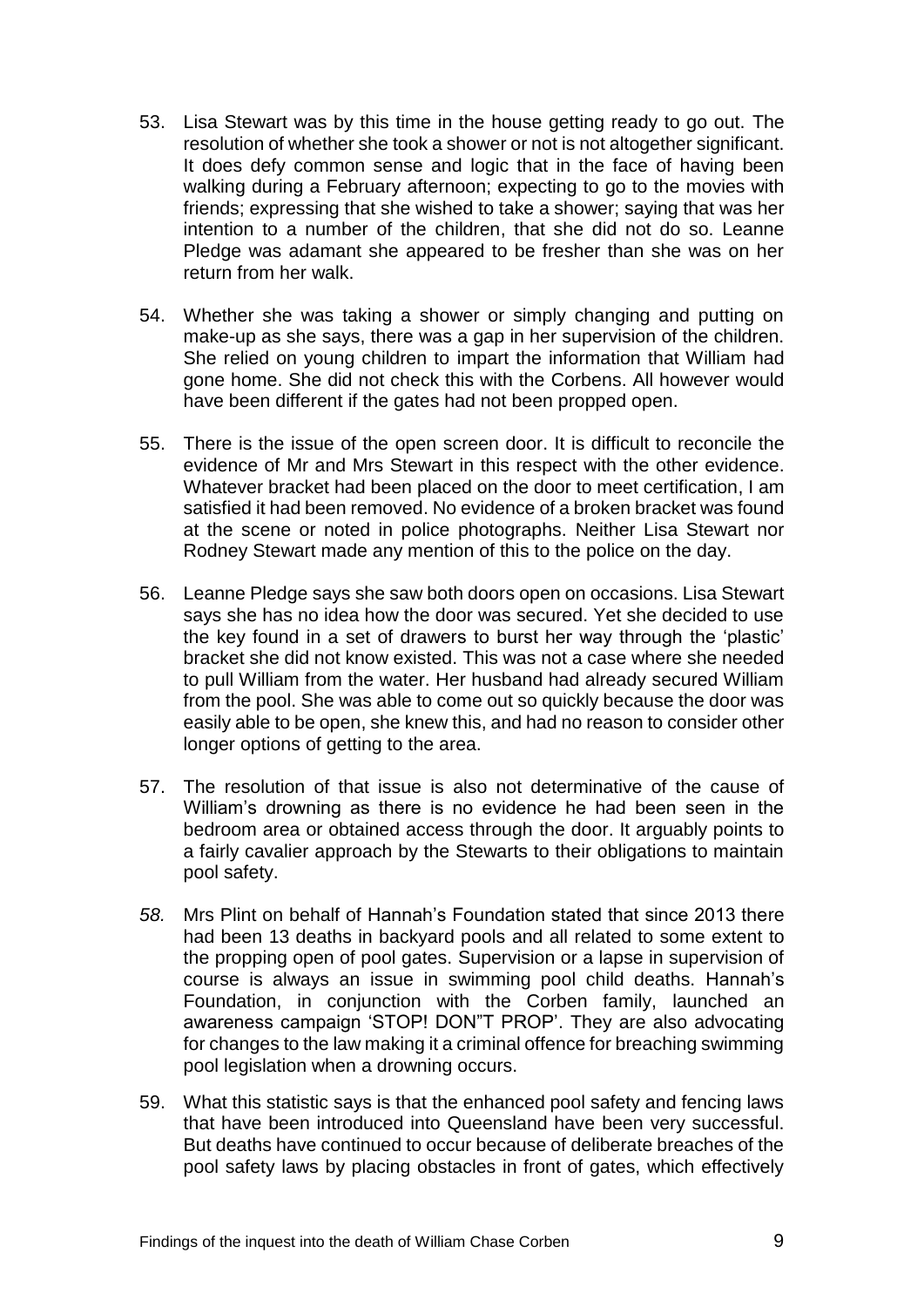- 53. Lisa Stewart was by this time in the house getting ready to go out. The resolution of whether she took a shower or not is not altogether significant. It does defy common sense and logic that in the face of having been walking during a February afternoon; expecting to go to the movies with friends; expressing that she wished to take a shower; saying that was her intention to a number of the children, that she did not do so. Leanne Pledge was adamant she appeared to be fresher than she was on her return from her walk.
- 54. Whether she was taking a shower or simply changing and putting on make-up as she says, there was a gap in her supervision of the children. She relied on young children to impart the information that William had gone home. She did not check this with the Corbens. All however would have been different if the gates had not been propped open.
- 55. There is the issue of the open screen door. It is difficult to reconcile the evidence of Mr and Mrs Stewart in this respect with the other evidence. Whatever bracket had been placed on the door to meet certification, I am satisfied it had been removed. No evidence of a broken bracket was found at the scene or noted in police photographs. Neither Lisa Stewart nor Rodney Stewart made any mention of this to the police on the day.
- 56. Leanne Pledge says she saw both doors open on occasions. Lisa Stewart says she has no idea how the door was secured. Yet she decided to use the key found in a set of drawers to burst her way through the 'plastic' bracket she did not know existed. This was not a case where she needed to pull William from the water. Her husband had already secured William from the pool. She was able to come out so quickly because the door was easily able to be open, she knew this, and had no reason to consider other longer options of getting to the area.
- 57. The resolution of that issue is also not determinative of the cause of William's drowning as there is no evidence he had been seen in the bedroom area or obtained access through the door. It arguably points to a fairly cavalier approach by the Stewarts to their obligations to maintain pool safety.
- *58.* Mrs Plint on behalf of Hannah's Foundation stated that since 2013 there had been 13 deaths in backyard pools and all related to some extent to the propping open of pool gates. Supervision or a lapse in supervision of course is always an issue in swimming pool child deaths. Hannah's Foundation, in conjunction with the Corben family, launched an awareness campaign 'STOP! DON"T PROP'. They are also advocating for changes to the law making it a criminal offence for breaching swimming pool legislation when a drowning occurs.
- 59. What this statistic says is that the enhanced pool safety and fencing laws that have been introduced into Queensland have been very successful. But deaths have continued to occur because of deliberate breaches of the pool safety laws by placing obstacles in front of gates, which effectively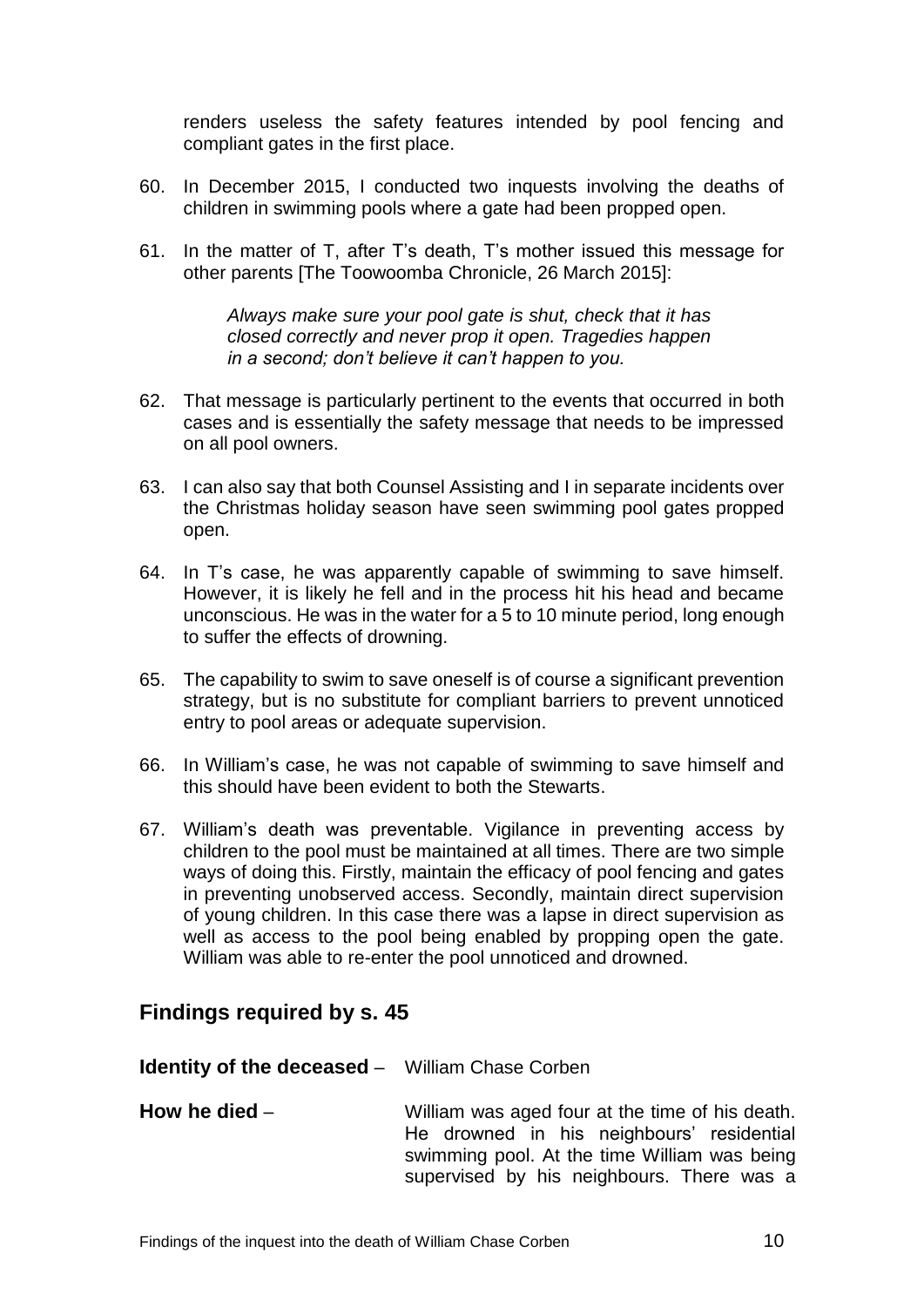renders useless the safety features intended by pool fencing and compliant gates in the first place.

- 60. In December 2015, I conducted two inquests involving the deaths of children in swimming pools where a gate had been propped open.
- 61. In the matter of T, after T's death, T's mother issued this message for other parents [The Toowoomba Chronicle, 26 March 2015]:

*Always make sure your pool gate is shut, check that it has closed correctly and never prop it open. Tragedies happen in a second; don't believe it can't happen to you.*

- 62. That message is particularly pertinent to the events that occurred in both cases and is essentially the safety message that needs to be impressed on all pool owners.
- 63. I can also say that both Counsel Assisting and I in separate incidents over the Christmas holiday season have seen swimming pool gates propped open.
- 64. In T's case, he was apparently capable of swimming to save himself. However, it is likely he fell and in the process hit his head and became unconscious. He was in the water for a 5 to 10 minute period, long enough to suffer the effects of drowning.
- 65. The capability to swim to save oneself is of course a significant prevention strategy, but is no substitute for compliant barriers to prevent unnoticed entry to pool areas or adequate supervision.
- 66. In William's case, he was not capable of swimming to save himself and this should have been evident to both the Stewarts.
- 67. William's death was preventable. Vigilance in preventing access by children to the pool must be maintained at all times. There are two simple ways of doing this. Firstly, maintain the efficacy of pool fencing and gates in preventing unobserved access. Secondly, maintain direct supervision of young children. In this case there was a lapse in direct supervision as well as access to the pool being enabled by propping open the gate. William was able to re-enter the pool unnoticed and drowned.

#### <span id="page-11-0"></span>**Findings required by s. 45**

<span id="page-11-2"></span><span id="page-11-1"></span>

| <b>Identity of the deceased - William Chase Corben</b> |                                                                                                                                                                                           |
|--------------------------------------------------------|-------------------------------------------------------------------------------------------------------------------------------------------------------------------------------------------|
| How he died $-$                                        | William was aged four at the time of his death.<br>He drowned in his neighbours' residential<br>swimming pool. At the time William was being<br>supervised by his neighbours. There was a |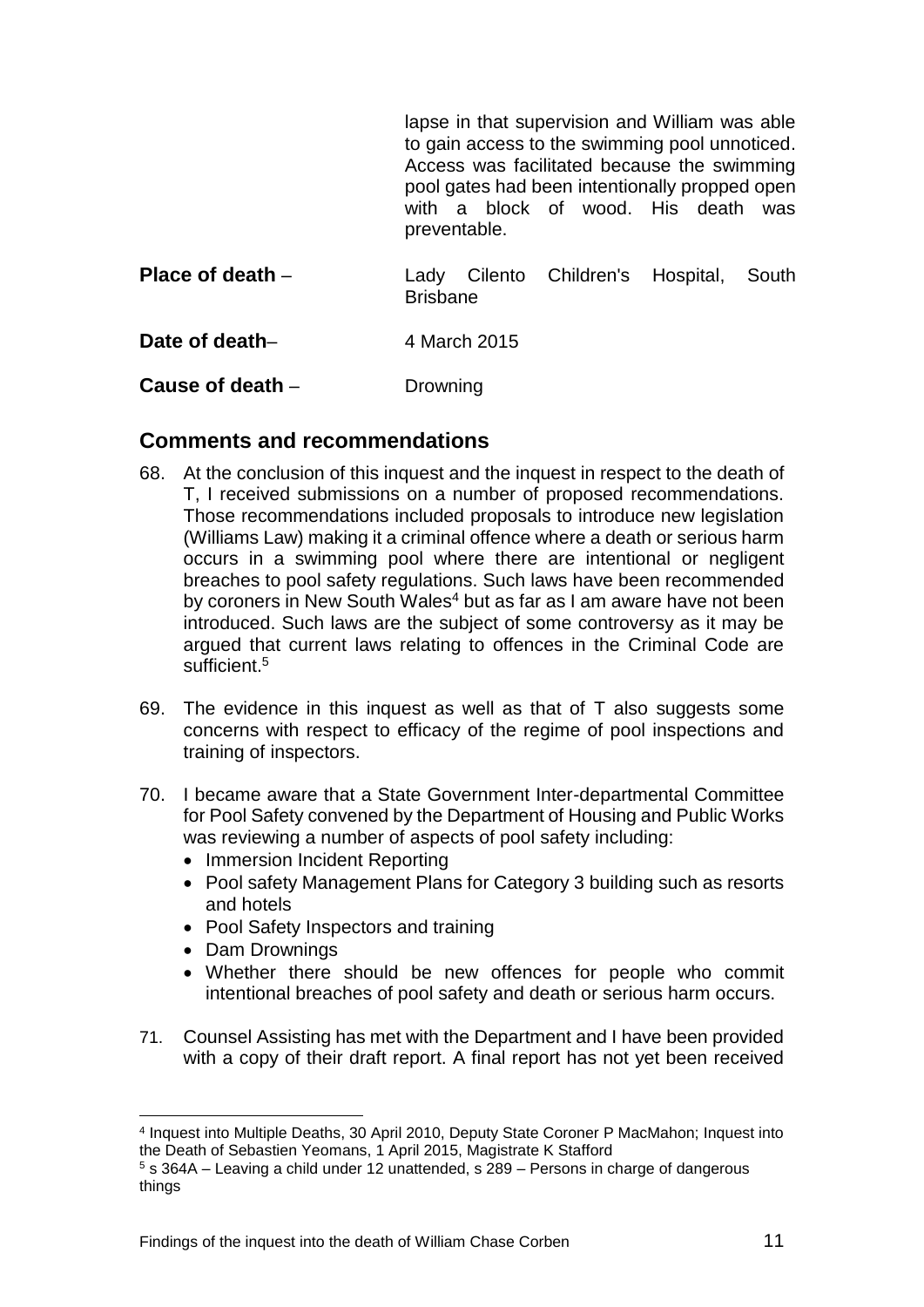lapse in that supervision and William was able to gain access to the swimming pool unnoticed. Access was facilitated because the swimming pool gates had been intentionally propped open with a block of wood. His death was preventable.

<span id="page-12-1"></span><span id="page-12-0"></span>

| Place of death $-$ | Lady Cilento Children's Hospital, South<br><b>Brisbane</b> |  |  |  |  |  |
|--------------------|------------------------------------------------------------|--|--|--|--|--|
| Date of death-     | 4 March 2015                                               |  |  |  |  |  |
| Cause of death –   | Drowning                                                   |  |  |  |  |  |

#### <span id="page-12-3"></span><span id="page-12-2"></span>**Comments and recommendations**

- 68. At the conclusion of this inquest and the inquest in respect to the death of T, I received submissions on a number of proposed recommendations. Those recommendations included proposals to introduce new legislation (Williams Law) making it a criminal offence where a death or serious harm occurs in a swimming pool where there are intentional or negligent breaches to pool safety regulations. Such laws have been recommended by coroners in New South Wales<sup>4</sup> but as far as I am aware have not been introduced. Such laws are the subject of some controversy as it may be argued that current laws relating to offences in the Criminal Code are sufficient.<sup>5</sup>
- 69. The evidence in this inquest as well as that of T also suggests some concerns with respect to efficacy of the regime of pool inspections and training of inspectors.
- 70. I became aware that a State Government Inter-departmental Committee for Pool Safety convened by the Department of Housing and Public Works was reviewing a number of aspects of pool safety including:
	- Immersion Incident Reporting
	- Pool safety Management Plans for Category 3 building such as resorts and hotels
	- Pool Safety Inspectors and training
	- Dam Drownings

l

- Whether there should be new offences for people who commit intentional breaches of pool safety and death or serious harm occurs.
- 71. Counsel Assisting has met with the Department and I have been provided with a copy of their draft report. A final report has not yet been received

<sup>4</sup> Inquest into Multiple Deaths, 30 April 2010, Deputy State Coroner P MacMahon; Inquest into the Death of Sebastien Yeomans, 1 April 2015, Magistrate K Stafford

<sup>5</sup> s 364A – Leaving a child under 12 unattended, s 289 – Persons in charge of dangerous things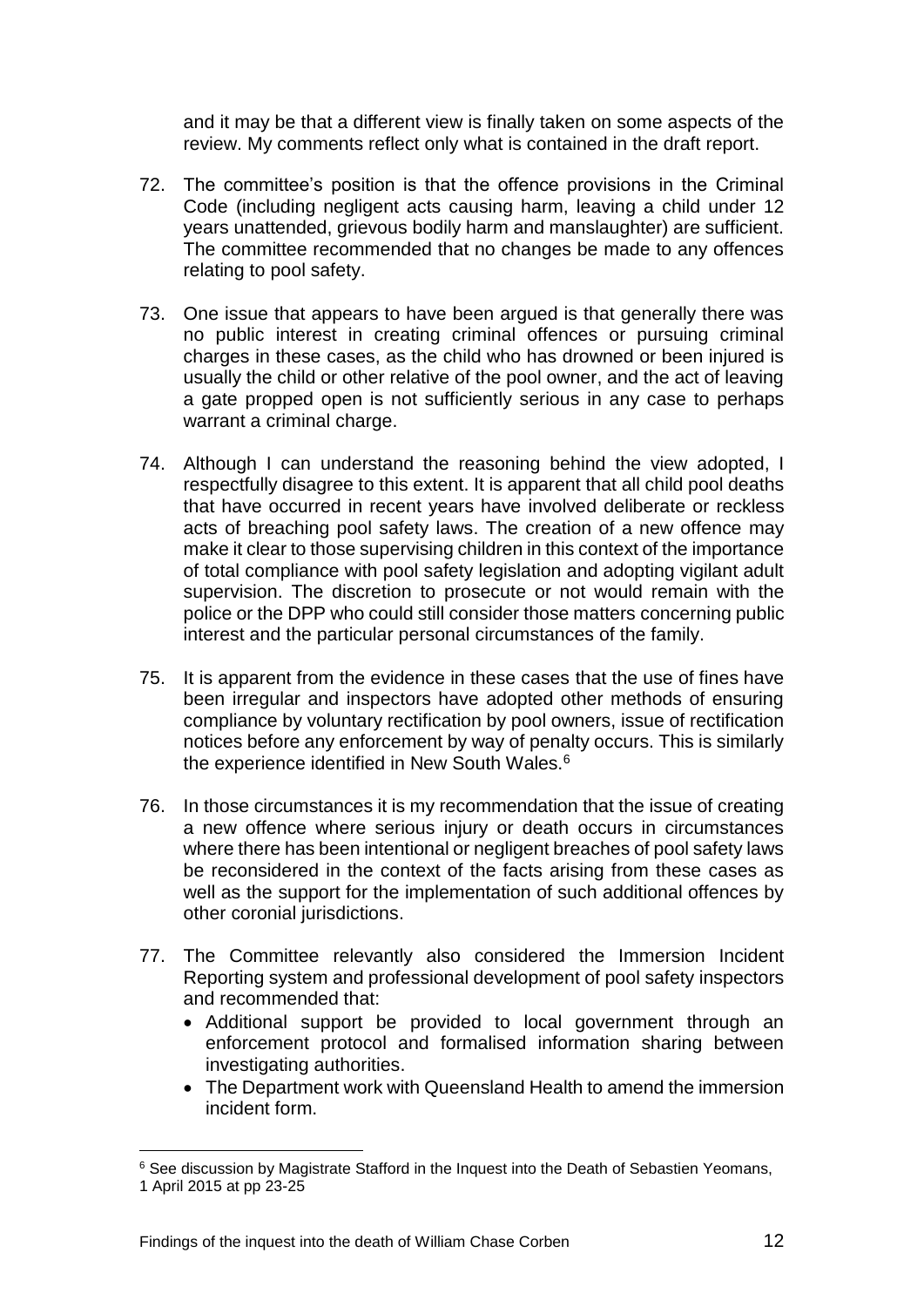and it may be that a different view is finally taken on some aspects of the review. My comments reflect only what is contained in the draft report.

- 72. The committee's position is that the offence provisions in the Criminal Code (including negligent acts causing harm, leaving a child under 12 years unattended, grievous bodily harm and manslaughter) are sufficient. The committee recommended that no changes be made to any offences relating to pool safety.
- 73. One issue that appears to have been argued is that generally there was no public interest in creating criminal offences or pursuing criminal charges in these cases, as the child who has drowned or been injured is usually the child or other relative of the pool owner, and the act of leaving a gate propped open is not sufficiently serious in any case to perhaps warrant a criminal charge.
- 74. Although I can understand the reasoning behind the view adopted, I respectfully disagree to this extent. It is apparent that all child pool deaths that have occurred in recent years have involved deliberate or reckless acts of breaching pool safety laws. The creation of a new offence may make it clear to those supervising children in this context of the importance of total compliance with pool safety legislation and adopting vigilant adult supervision. The discretion to prosecute or not would remain with the police or the DPP who could still consider those matters concerning public interest and the particular personal circumstances of the family.
- 75. It is apparent from the evidence in these cases that the use of fines have been irregular and inspectors have adopted other methods of ensuring compliance by voluntary rectification by pool owners, issue of rectification notices before any enforcement by way of penalty occurs. This is similarly the experience identified in New South Wales.<sup>6</sup>
- 76. In those circumstances it is my recommendation that the issue of creating a new offence where serious injury or death occurs in circumstances where there has been intentional or negligent breaches of pool safety laws be reconsidered in the context of the facts arising from these cases as well as the support for the implementation of such additional offences by other coronial jurisdictions.
- 77. The Committee relevantly also considered the Immersion Incident Reporting system and professional development of pool safety inspectors and recommended that:
	- Additional support be provided to local government through an enforcement protocol and formalised information sharing between investigating authorities.
	- The Department work with Queensland Health to amend the immersion incident form.

l

<sup>&</sup>lt;sup>6</sup> See discussion by Magistrate Stafford in the Inquest into the Death of Sebastien Yeomans, 1 April 2015 at pp 23-25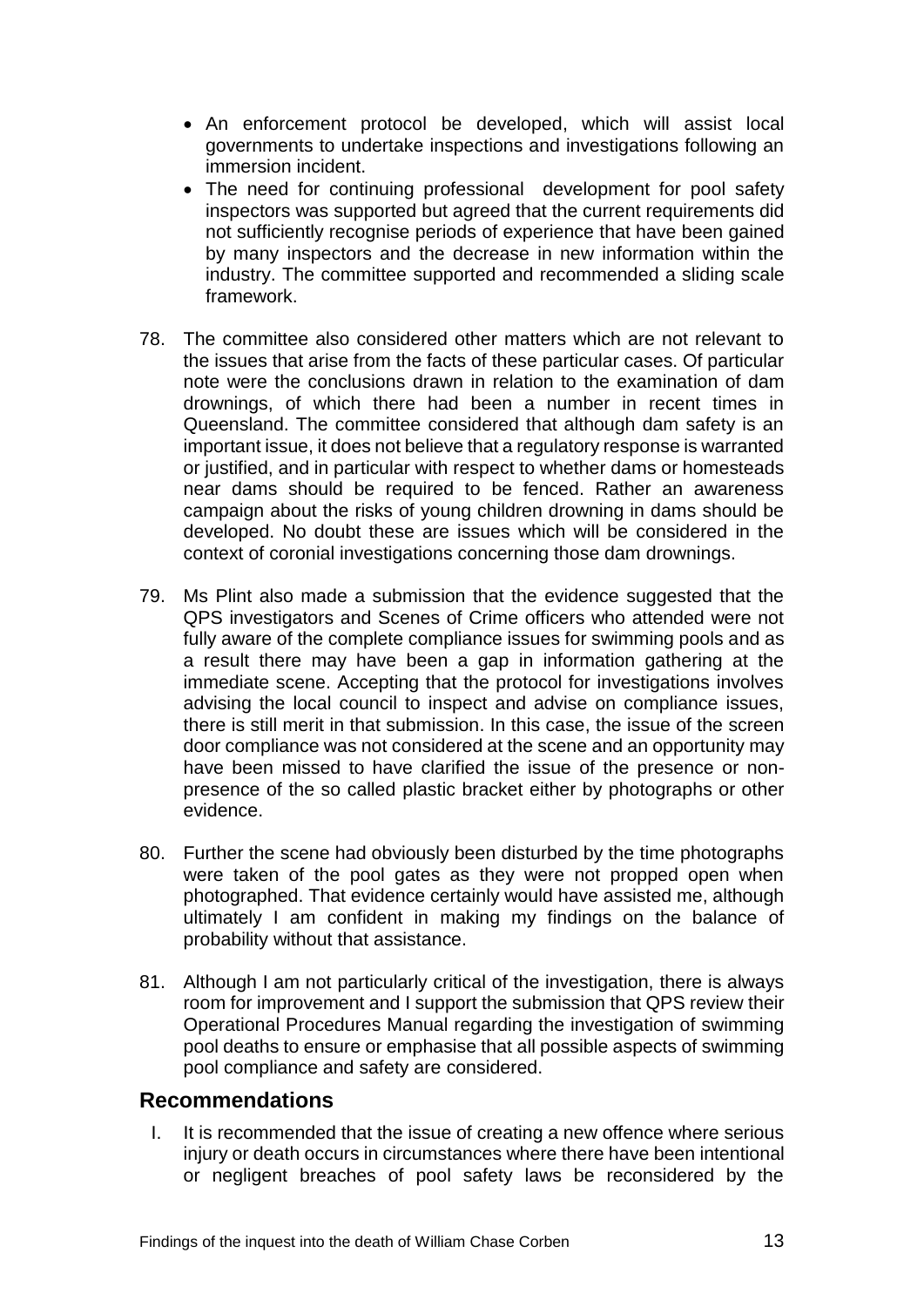- An enforcement protocol be developed, which will assist local governments to undertake inspections and investigations following an immersion incident.
- The need for continuing professional development for pool safety inspectors was supported but agreed that the current requirements did not sufficiently recognise periods of experience that have been gained by many inspectors and the decrease in new information within the industry. The committee supported and recommended a sliding scale framework.
- 78. The committee also considered other matters which are not relevant to the issues that arise from the facts of these particular cases. Of particular note were the conclusions drawn in relation to the examination of dam drownings, of which there had been a number in recent times in Queensland. The committee considered that although dam safety is an important issue, it does not believe that a regulatory response is warranted or justified, and in particular with respect to whether dams or homesteads near dams should be required to be fenced. Rather an awareness campaign about the risks of young children drowning in dams should be developed. No doubt these are issues which will be considered in the context of coronial investigations concerning those dam drownings.
- 79. Ms Plint also made a submission that the evidence suggested that the QPS investigators and Scenes of Crime officers who attended were not fully aware of the complete compliance issues for swimming pools and as a result there may have been a gap in information gathering at the immediate scene. Accepting that the protocol for investigations involves advising the local council to inspect and advise on compliance issues, there is still merit in that submission. In this case, the issue of the screen door compliance was not considered at the scene and an opportunity may have been missed to have clarified the issue of the presence or nonpresence of the so called plastic bracket either by photographs or other evidence.
- 80. Further the scene had obviously been disturbed by the time photographs were taken of the pool gates as they were not propped open when photographed. That evidence certainly would have assisted me, although ultimately I am confident in making my findings on the balance of probability without that assistance.
- 81. Although I am not particularly critical of the investigation, there is always room for improvement and I support the submission that QPS review their Operational Procedures Manual regarding the investigation of swimming pool deaths to ensure or emphasise that all possible aspects of swimming pool compliance and safety are considered.

#### <span id="page-14-0"></span>**Recommendations**

I. It is recommended that the issue of creating a new offence where serious injury or death occurs in circumstances where there have been intentional or negligent breaches of pool safety laws be reconsidered by the